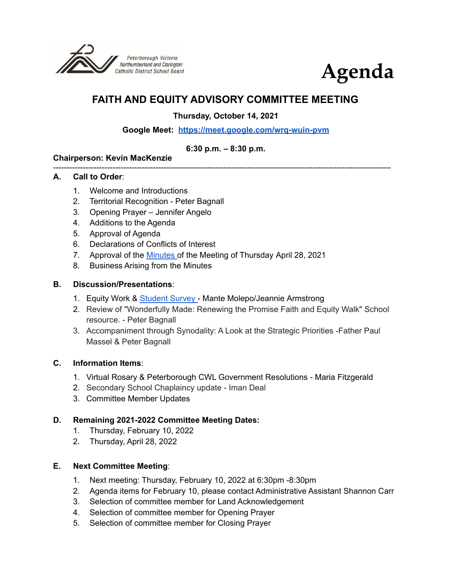



# **FAITH AND EQUITY ADVISORY COMMITTEE MEETING**

**Thursday, October 14, 2021**

### **Google Meet: <https://meet.google.com/wrq-wuin-pvm>**

#### **6:30 p.m. – 8:30 p.m.**

#### **Chairperson: Kevin MacKenzie**

#### ----------------------------------------------------------------------------------------------------------------------------- **A. Call to Order**:

- 1. Welcome and Introductions
- 2. Territorial Recognition Peter Bagnall
- 3. Opening Prayer Jennifer Angelo
- 4. Additions to the Agenda
- 5. Approval of Agenda
- 6. Declarations of Conflicts of Interest
- 7. Approval of the [Minutes](https://docs.google.com/document/d/1tA-awDfWTAL90W4wcNTQj6ZqE6cVGWxX/edit?usp=sharing&ouid=117905647354719688566&rtpof=true&sd=true) of the Meeting of Thursday April 28, 2021
- 8. Business Arising from the Minutes

#### **B. Discussion/Presentations**:

- 1. Equity Work & [Student](https://docs.google.com/presentation/d/1oMsa1udIz3DnVVeFEa01aQiwVYgjZLug/edit?usp=sharing&ouid=117905647354719688566&rtpof=true&sd=true) Survey Mante Molepo/Jeannie Armstrong
- 2. Review of "Wonderfully Made: Renewing the Promise Faith and Equity Walk" School resource. - Peter Bagnall
- 3. Accompaniment through Synodality: A Look at the Strategic Priorities -Father Paul Massel & Peter Bagnall

#### **C. Information Items**:

- 1. Virtual Rosary & Peterborough CWL Government Resolutions Maria Fitzgerald
- 2. Secondary School Chaplaincy update Iman Deal
- 3. Committee Member Updates

### **D. Remaining 2021-2022 Committee Meeting Dates:**

- 1. Thursday, February 10, 2022
- 2. Thursday, April 28, 2022

#### **E. Next Committee Meeting**:

- 1. Next meeting: Thursday, February 10, 2022 at 6:30pm -8:30pm
- 2. Agenda items for February 10, please contact Administrative Assistant Shannon Carr
- 3. Selection of committee member for Land Acknowledgement
- 4. Selection of committee member for Opening Prayer
- 5. Selection of committee member for Closing Prayer